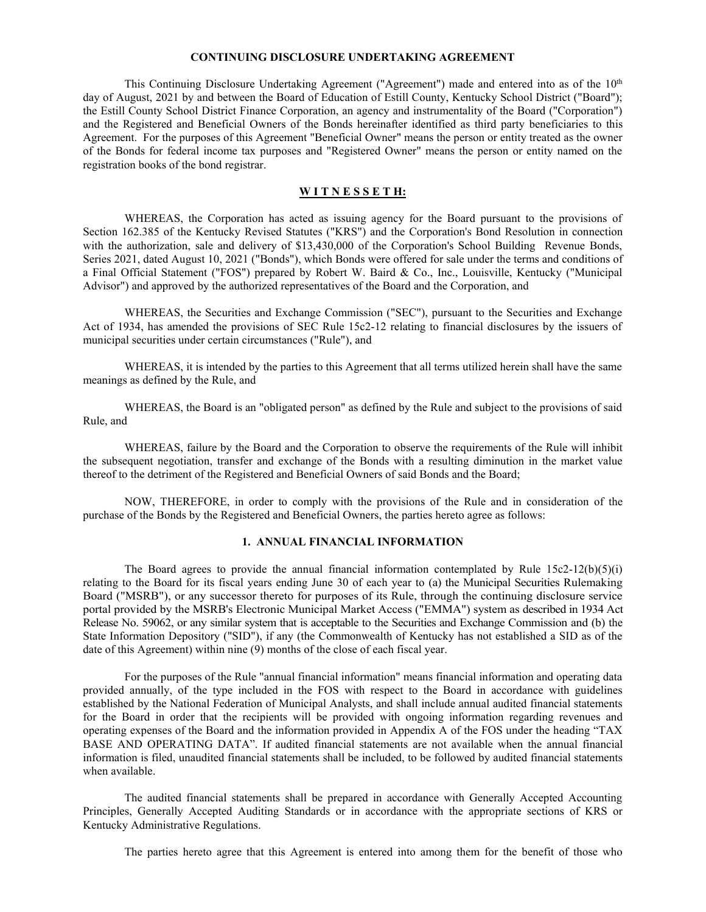#### **CONTINUING DISCLOSURE UNDERTAKING AGREEMENT**

This Continuing Disclosure Undertaking Agreement ("Agreement") made and entered into as of the  $10<sup>th</sup>$ day of August, 2021 by and between the Board of Education of Estill County, Kentucky School District ("Board"); the Estill County School District Finance Corporation, an agency and instrumentality of the Board ("Corporation") and the Registered and Beneficial Owners of the Bonds hereinafter identified as third party beneficiaries to this Agreement. For the purposes of this Agreement "Beneficial Owner" means the person or entity treated as the owner of the Bonds for federal income tax purposes and "Registered Owner" means the person or entity named on the registration books of the bond registrar.

### **W I T N E S S E T H:**

WHEREAS, the Corporation has acted as issuing agency for the Board pursuant to the provisions of Section 162.385 of the Kentucky Revised Statutes ("KRS") and the Corporation's Bond Resolution in connection with the authorization, sale and delivery of \$13,430,000 of the Corporation's School Building Revenue Bonds, Series 2021, dated August 10, 2021 ("Bonds"), which Bonds were offered for sale under the terms and conditions of a Final Official Statement ("FOS") prepared by Robert W. Baird & Co., Inc., Louisville, Kentucky ("Municipal Advisor") and approved by the authorized representatives of the Board and the Corporation, and

WHEREAS, the Securities and Exchange Commission ("SEC"), pursuant to the Securities and Exchange Act of 1934, has amended the provisions of SEC Rule 15c2-12 relating to financial disclosures by the issuers of municipal securities under certain circumstances ("Rule"), and

WHEREAS, it is intended by the parties to this Agreement that all terms utilized herein shall have the same meanings as defined by the Rule, and

WHEREAS, the Board is an "obligated person" as defined by the Rule and subject to the provisions of said Rule, and

WHEREAS, failure by the Board and the Corporation to observe the requirements of the Rule will inhibit the subsequent negotiation, transfer and exchange of the Bonds with a resulting diminution in the market value thereof to the detriment of the Registered and Beneficial Owners of said Bonds and the Board;

NOW, THEREFORE, in order to comply with the provisions of the Rule and in consideration of the purchase of the Bonds by the Registered and Beneficial Owners, the parties hereto agree as follows:

#### **1. ANNUAL FINANCIAL INFORMATION**

The Board agrees to provide the annual financial information contemplated by Rule  $15c^2-12(b)(5)(i)$ relating to the Board for its fiscal years ending June 30 of each year to (a) the Municipal Securities Rulemaking Board ("MSRB"), or any successor thereto for purposes of its Rule, through the continuing disclosure service portal provided by the MSRB's Electronic Municipal Market Access ("EMMA") system as described in 1934 Act Release No. 59062, or any similar system that is acceptable to the Securities and Exchange Commission and (b) the State Information Depository ("SID"), if any (the Commonwealth of Kentucky has not established a SID as of the date of this Agreement) within nine (9) months of the close of each fiscal year.

For the purposes of the Rule "annual financial information" means financial information and operating data provided annually, of the type included in the FOS with respect to the Board in accordance with guidelines established by the National Federation of Municipal Analysts, and shall include annual audited financial statements for the Board in order that the recipients will be provided with ongoing information regarding revenues and operating expenses of the Board and the information provided in Appendix A of the FOS under the heading "TAX BASE AND OPERATING DATA". If audited financial statements are not available when the annual financial information is filed, unaudited financial statements shall be included, to be followed by audited financial statements when available.

The audited financial statements shall be prepared in accordance with Generally Accepted Accounting Principles, Generally Accepted Auditing Standards or in accordance with the appropriate sections of KRS or Kentucky Administrative Regulations.

The parties hereto agree that this Agreement is entered into among them for the benefit of those who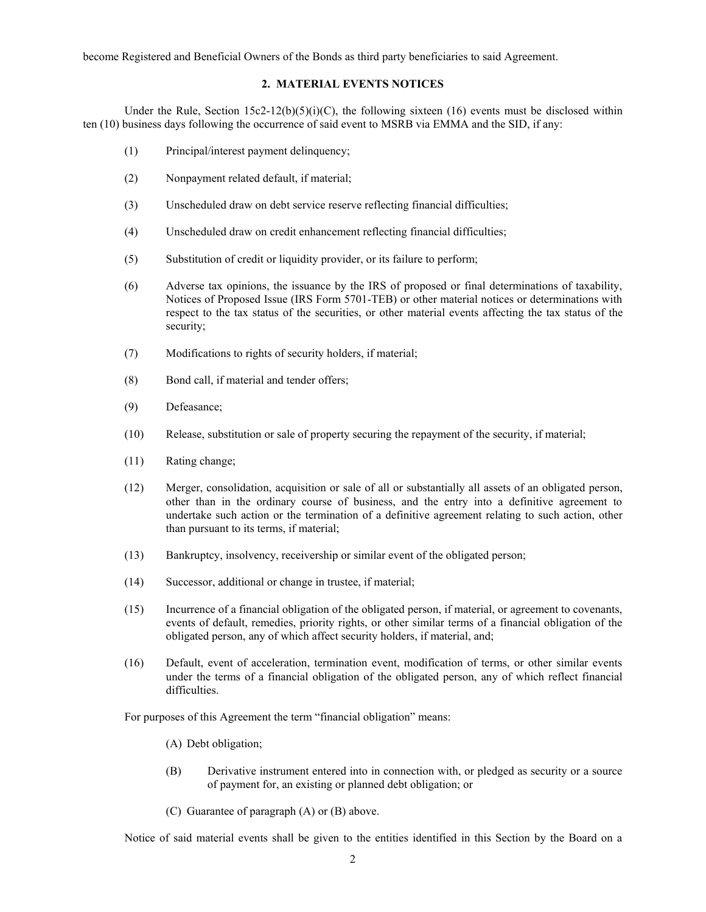become Registered and Beneficial Owners of the Bonds as third party beneficiaries to said Agreement.

# **2. MATERIAL EVENTS NOTICES**

Under the Rule, Section  $15c2-12(b)(5)(i)(C)$ , the following sixteen (16) events must be disclosed within ten (10) business days following the occurrence of said event to MSRB via EMMA and the SID, if any:

- (1) Principal/interest payment delinquency;
- (2) Nonpayment related default, if material;
- (3) Unscheduled draw on debt service reserve reflecting financial difficulties;
- (4) Unscheduled draw on credit enhancement reflecting financial difficulties;
- (5) Substitution of credit or liquidity provider, or its failure to perform;
- (6) Adverse tax opinions, the issuance by the IRS of proposed or final determinations of taxability, Notices of Proposed Issue (IRS Form 5701-TEB) or other material notices or determinations with respect to the tax status of the securities, or other material events affecting the tax status of the security;
- (7) Modifications to rights of security holders, if material;
- (8) Bond call, if material and tender offers;
- (9) Defeasance;
- (10) Release, substitution or sale of property securing the repayment of the security, if material;
- (11) Rating change;
- (12) Merger, consolidation, acquisition or sale of all or substantially all assets of an obligated person, other than in the ordinary course of business, and the entry into a definitive agreement to undertake such action or the termination of a definitive agreement relating to such action, other than pursuant to its terms, if material;
- (13) Bankruptcy, insolvency, receivership or similar event of the obligated person;
- (14) Successor, additional or change in trustee, if material;
- (15) Incurrence of a financial obligation of the obligated person, if material, or agreement to covenants, events of default, remedies, priority rights, or other similar terms of a financial obligation of the obligated person, any of which affect security holders, if material, and;
- (16) Default, event of acceleration, termination event, modification of terms, or other similar events under the terms of a financial obligation of the obligated person, any of which reflect financial difficulties.

For purposes of this Agreement the term "financial obligation" means:

(A) Debt obligation;

- (B) Derivative instrument entered into in connection with, or pledged as security or a source of payment for, an existing or planned debt obligation; or
- (C) Guarantee of paragraph (A) or (B) above.

Notice of said material events shall be given to the entities identified in this Section by the Board on a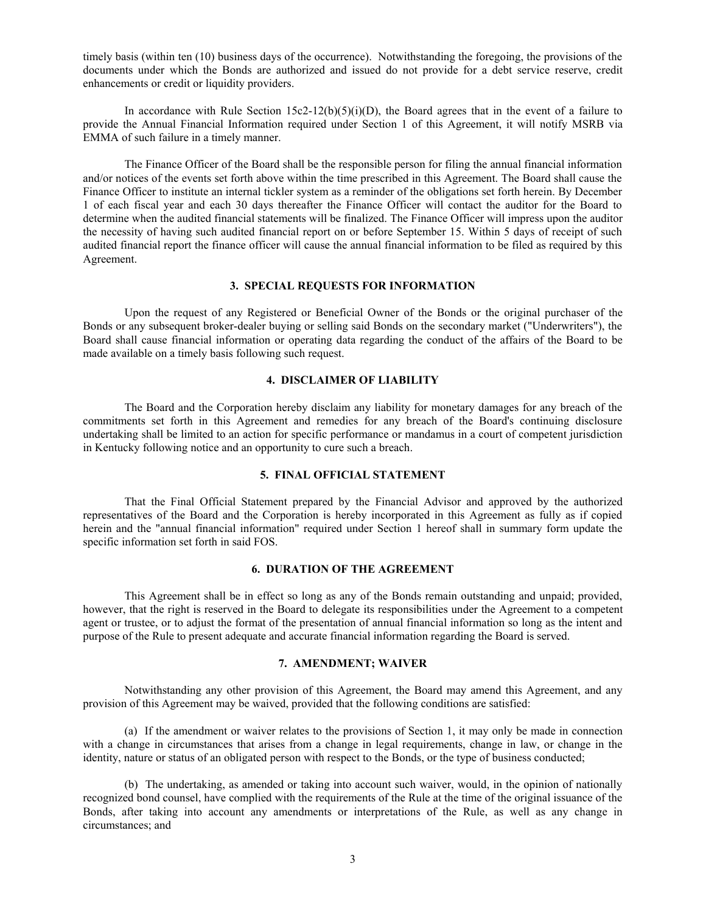timely basis (within ten (10) business days of the occurrence). Notwithstanding the foregoing, the provisions of the documents under which the Bonds are authorized and issued do not provide for a debt service reserve, credit enhancements or credit or liquidity providers.

In accordance with Rule Section  $15c2-12(b)(5)(i)(D)$ , the Board agrees that in the event of a failure to provide the Annual Financial Information required under Section 1 of this Agreement, it will notify MSRB via EMMA of such failure in a timely manner.

The Finance Officer of the Board shall be the responsible person for filing the annual financial information and/or notices of the events set forth above within the time prescribed in this Agreement. The Board shall cause the Finance Officer to institute an internal tickler system as a reminder of the obligations set forth herein. By December 1 of each fiscal year and each 30 days thereafter the Finance Officer will contact the auditor for the Board to determine when the audited financial statements will be finalized. The Finance Officer will impress upon the auditor the necessity of having such audited financial report on or before September 15. Within 5 days of receipt of such audited financial report the finance officer will cause the annual financial information to be filed as required by this Agreement.

#### **3. SPECIAL REQUESTS FOR INFORMATION**

Upon the request of any Registered or Beneficial Owner of the Bonds or the original purchaser of the Bonds or any subsequent broker-dealer buying or selling said Bonds on the secondary market ("Underwriters"), the Board shall cause financial information or operating data regarding the conduct of the affairs of the Board to be made available on a timely basis following such request.

## **4. DISCLAIMER OF LIABILITY**

The Board and the Corporation hereby disclaim any liability for monetary damages for any breach of the commitments set forth in this Agreement and remedies for any breach of the Board's continuing disclosure undertaking shall be limited to an action for specific performance or mandamus in a court of competent jurisdiction in Kentucky following notice and an opportunity to cure such a breach.

#### **5. FINAL OFFICIAL STATEMENT**

That the Final Official Statement prepared by the Financial Advisor and approved by the authorized representatives of the Board and the Corporation is hereby incorporated in this Agreement as fully as if copied herein and the "annual financial information" required under Section 1 hereof shall in summary form update the specific information set forth in said FOS.

#### **6. DURATION OF THE AGREEMENT**

This Agreement shall be in effect so long as any of the Bonds remain outstanding and unpaid; provided, however, that the right is reserved in the Board to delegate its responsibilities under the Agreement to a competent agent or trustee, or to adjust the format of the presentation of annual financial information so long as the intent and purpose of the Rule to present adequate and accurate financial information regarding the Board is served.

#### **7. AMENDMENT; WAIVER**

Notwithstanding any other provision of this Agreement, the Board may amend this Agreement, and any provision of this Agreement may be waived, provided that the following conditions are satisfied:

(a) If the amendment or waiver relates to the provisions of Section 1, it may only be made in connection with a change in circumstances that arises from a change in legal requirements, change in law, or change in the identity, nature or status of an obligated person with respect to the Bonds, or the type of business conducted;

(b) The undertaking, as amended or taking into account such waiver, would, in the opinion of nationally recognized bond counsel, have complied with the requirements of the Rule at the time of the original issuance of the Bonds, after taking into account any amendments or interpretations of the Rule, as well as any change in circumstances; and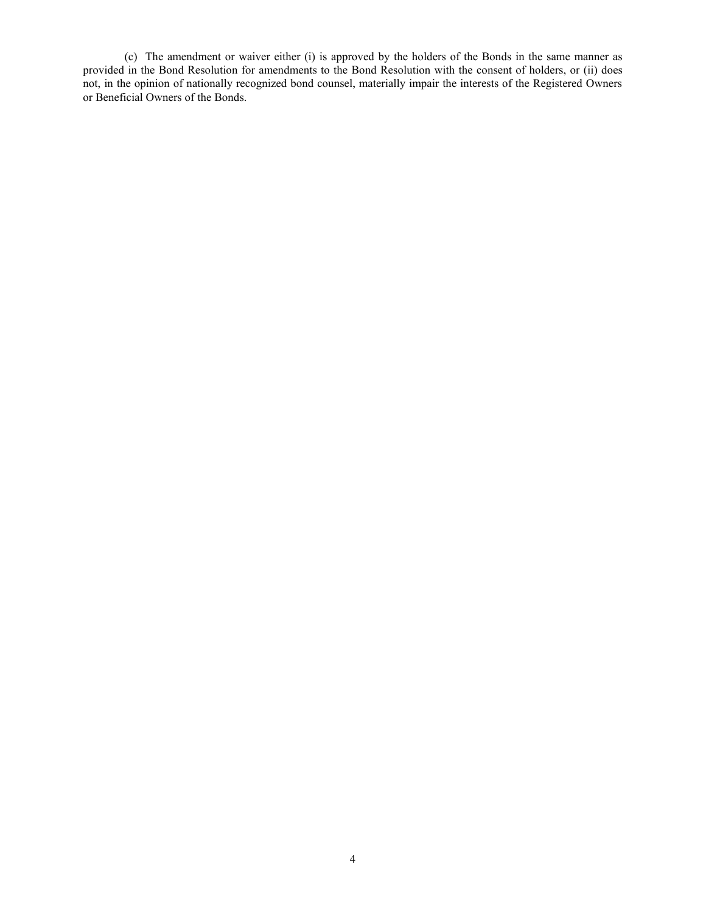(c) The amendment or waiver either (i) is approved by the holders of the Bonds in the same manner as provided in the Bond Resolution for amendments to the Bond Resolution with the consent of holders, or (ii) does not, in the opinion of nationally recognized bond counsel, materially impair the interests of the Registered Owners or Beneficial Owners of the Bonds.